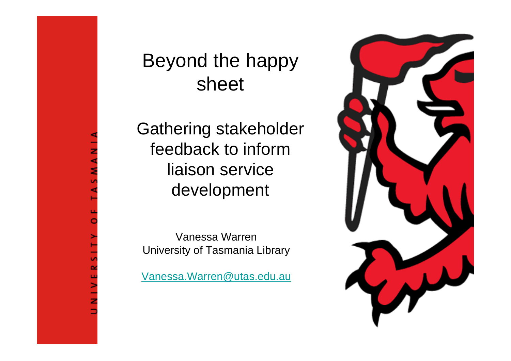### Beyond the happy sheet

Gathering stakeholder feedback to inform liaison service development

Vanessa WarrenUniversity of Tasmania Library

Vanessa.Warren@utas.edu.au

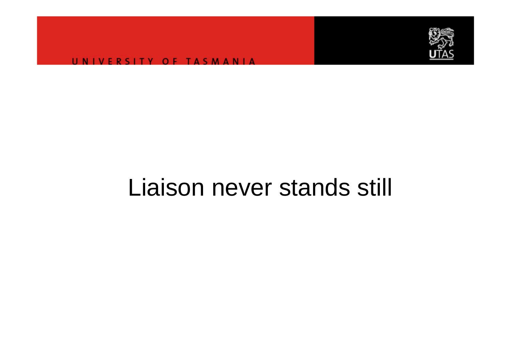

TV OF TASMANIA **TEN 1 DCI** 

## Liaison never stands still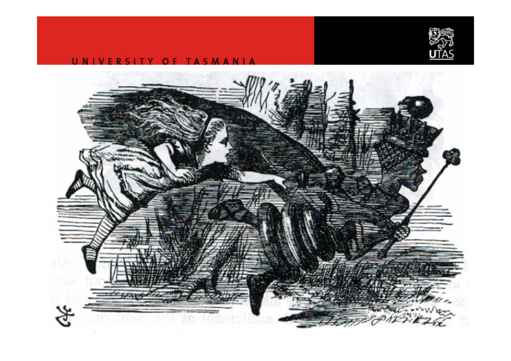

#### UNIVERSITY OF TASMANIA

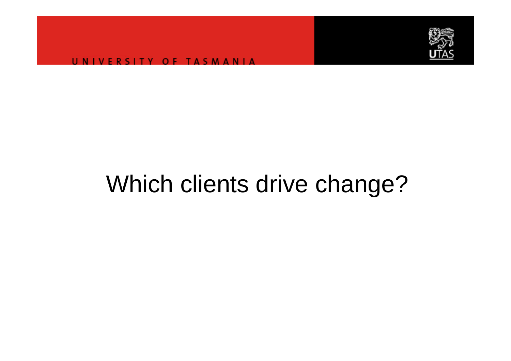

#### ANIA **TEM** C

## Which clients drive change?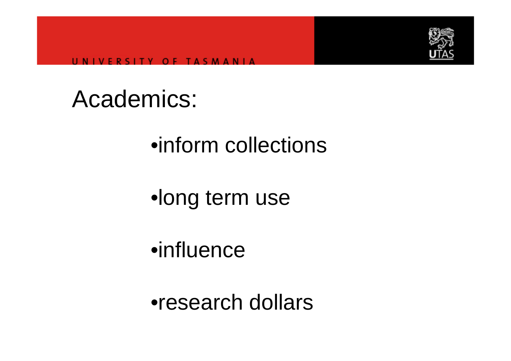

## Academics:

### •inform collections

•long term use

•influence

•research dollars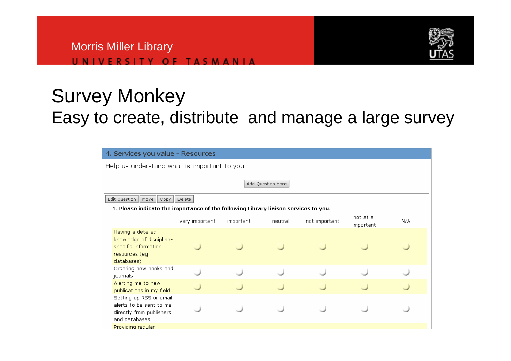#### $N<sub>1</sub>$



### Survey Monkey Easy to create, distribute and manage a large survey

| 4. Services you value - Resources                                                                                    |                |           |                   |               |                         |     |
|----------------------------------------------------------------------------------------------------------------------|----------------|-----------|-------------------|---------------|-------------------------|-----|
| Help us understand what is important to you.                                                                         |                |           |                   |               |                         |     |
|                                                                                                                      |                |           | Add Question Here |               |                         |     |
| Edit Question<br>Move<br>Copy<br>1. Please indicate the importance of the following Library liaison services to you. | Delete         |           |                   |               |                         |     |
|                                                                                                                      | very important | important | neutral           | not important | not at all<br>important | N/A |
| Having a detailed<br>knowledge of discipline-<br>specific information.<br>resources (eg.<br>databases)               |                |           |                   |               |                         |     |
| Ordering new books and<br>journals                                                                                   |                |           |                   |               |                         |     |
| Alerting me to new<br>publications in my field                                                                       |                |           |                   |               |                         |     |
| Setting up RSS or email<br>alerts to be sent to me<br>directly from publishers<br>and databases<br>Providing regular |                |           |                   |               |                         |     |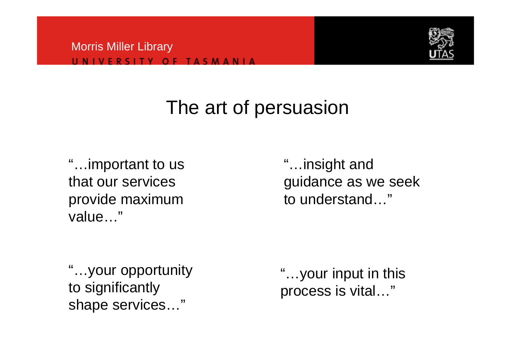

### The art of persuasion

"…important to us that our services provide maximum value…"

"…your opportunity to significantly shape services…"

"…insight and guidance as we seek to understand…"

"…your input in this process is vital…"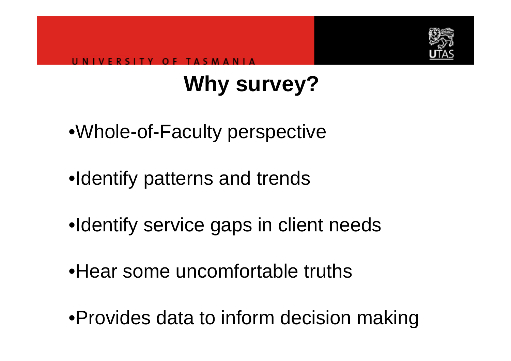

## **Why survey?**

- •Whole-of-Faculty perspective
- •Identify patterns and trends
- •Identify service gaps in client needs
- •Hear some uncomfortable truths
- •Provides data to inform decision making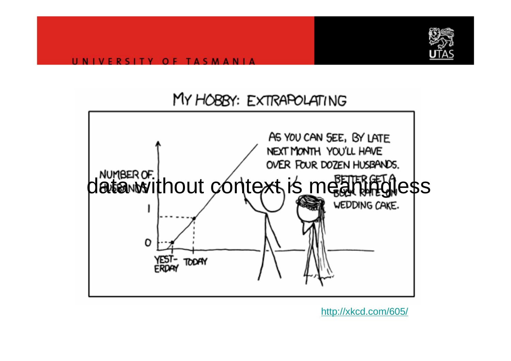

#### **RSITY OF TASMANIA ILM LV**



http://xkcd.com/605/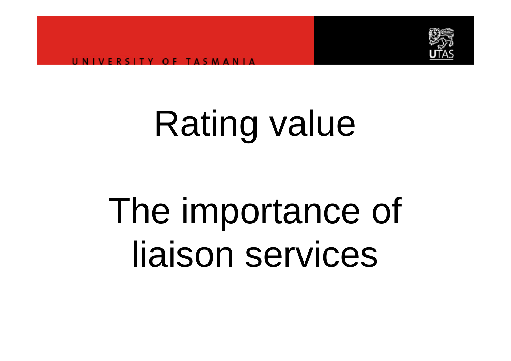

# Rating value

# The importance of liaison services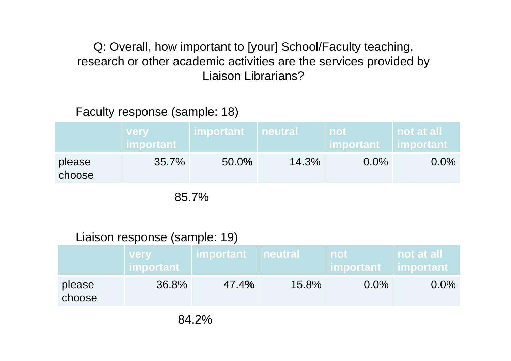#### Q: Overall, how important to [your] School/Faculty teaching, research or other academic activities are the services provided by Liaison Librarians?

#### Faculty response (sample: 18)

|                  | <b>very</b><br>important | important neutral |       | not<br>$\mathsf{import}$ important | not at all |
|------------------|--------------------------|-------------------|-------|------------------------------------|------------|
| please<br>choose | 35.7%                    | 50.0%             | 14.3% | $0.0\%$                            | $0.0\%$    |

85.7%

#### Liaison response (sample: 19)

|                  | <b>very</b><br><b>important</b> | important neutral |          | <b>not</b><br>Important | ∣ not at all<br>$\blacksquare$ important |
|------------------|---------------------------------|-------------------|----------|-------------------------|------------------------------------------|
| please<br>choose | 36.8%                           | 47.4%             | $15.8\%$ | $0.0\%$                 | $0.0\%$                                  |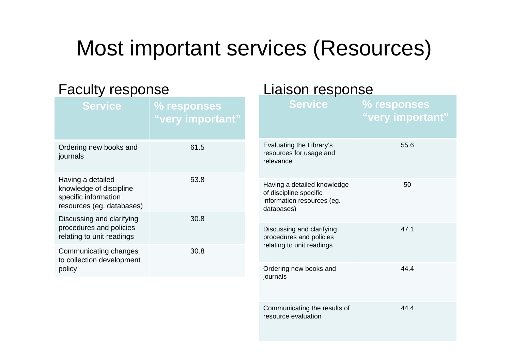### Most important services (Resources)

#### Faculty response **Liaison response**

| <b>Service</b>                                                                                             | % responses<br>"very important" | <b>Service</b>                                                                                    | % responses<br>"very important" |
|------------------------------------------------------------------------------------------------------------|---------------------------------|---------------------------------------------------------------------------------------------------|---------------------------------|
| Ordering new books and<br>journals                                                                         | 61.5                            | Evaluating the Library's<br>resources for usage and<br>relevance                                  | 55.6                            |
| Having a detailed<br>knowledge of discipline<br>specific information<br>resources (eg. databases)          | 53.8                            | Having a detailed knowledge<br>of discipline specific<br>information resources (eg.<br>databases) | 50                              |
| Discussing and clarifying<br>procedures and policies<br>relating to unit readings<br>Communicating changes | 30.8<br>30.8                    | Discussing and clarifying<br>procedures and policies<br>relating to unit readings                 | 47.1                            |
| to collection development<br>policy                                                                        |                                 | Ordering new books and<br>journals                                                                | 44.4                            |
|                                                                                                            |                                 |                                                                                                   |                                 |

Communicating the results of resource evaluation 44.4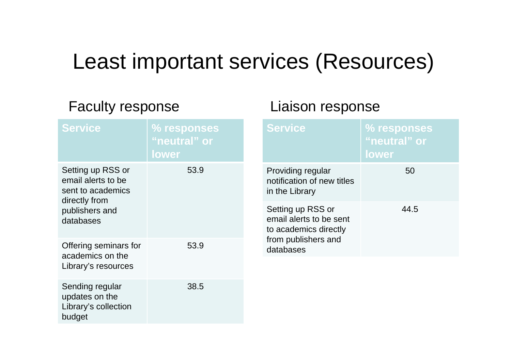### Least important services (Resources)

#### Faculty response **Liaison** response

Library's collection

budget

| <b>Service</b>                                                                | % responses<br>"neutral" or<br><b>lower</b> | <b>Service</b>                                                        | % responses<br>"neutral" or<br>lower |
|-------------------------------------------------------------------------------|---------------------------------------------|-----------------------------------------------------------------------|--------------------------------------|
| Setting up RSS or<br>email alerts to be<br>sent to academics<br>directly from | 53.9                                        | Providing regular<br>notification of new titles<br>in the Library     | 50                                   |
| publishers and<br>databases                                                   |                                             | Setting up RSS or<br>email alerts to be sent<br>to academics directly | 44.5                                 |
| Offering seminars for<br>academics on the<br>Library's resources              | 53.9                                        | from publishers and<br>databases                                      |                                      |
| Sending regular<br>updates on the                                             | 38.5                                        |                                                                       |                                      |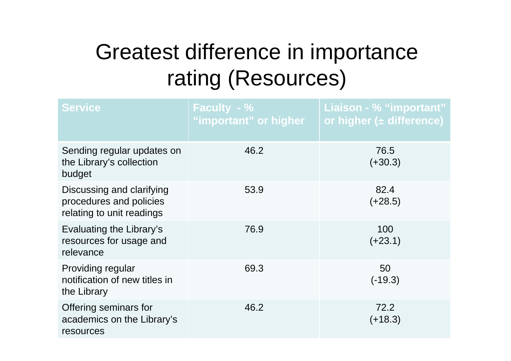## Greatest difference in importance rating (Resources)

| <b>Service</b>                                                                    | <b>Faculty - %</b><br>"important" or higher | Liaison - % "important"<br>or higher (± difference) |
|-----------------------------------------------------------------------------------|---------------------------------------------|-----------------------------------------------------|
| Sending regular updates on<br>the Library's collection<br>budget                  | 46.2                                        | 76.5<br>$(+30.3)$                                   |
| Discussing and clarifying<br>procedures and policies<br>relating to unit readings | 53.9                                        | 82.4<br>$(+28.5)$                                   |
| Evaluating the Library's<br>resources for usage and<br>relevance                  | 76.9                                        | 100<br>$(+23.1)$                                    |
| Providing regular<br>notification of new titles in<br>the Library                 | 69.3                                        | 50<br>$(-19.3)$                                     |
| Offering seminars for<br>academics on the Library's<br>resources                  | 46.2                                        | 72.2<br>$(+18.3)$                                   |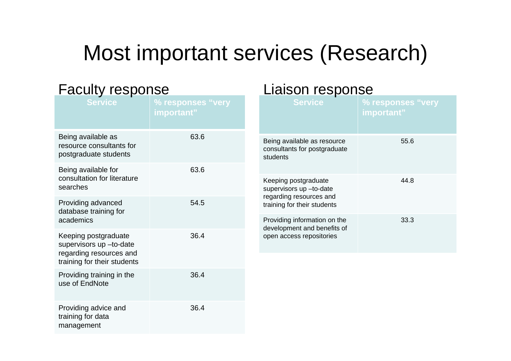### Most important services (Research)

#### Faculty response Liaison response

management

| <b>Service</b>                                                                          | % responses "very<br>important" | <b>Service</b>                                                                          | % responses "very<br>important" |
|-----------------------------------------------------------------------------------------|---------------------------------|-----------------------------------------------------------------------------------------|---------------------------------|
| Being available as<br>resource consultants for<br>postgraduate students                 | 63.6                            | Being available as resource<br>consultants for postgraduate<br>students                 | 55.6                            |
| Being available for<br>consultation for literature<br>searches                          | 63.6                            | Keeping postgraduate<br>supervisors up -to-date                                         | 44.8                            |
| Providing advanced<br>database training for                                             | 54.5                            | regarding resources and<br>training for their students                                  |                                 |
| academics<br>Keeping postgraduate<br>supervisors up -to-date<br>regarding resources and | 36.4                            | Providing information on the<br>development and benefits of<br>open access repositories | 33.3                            |
| training for their students                                                             |                                 |                                                                                         |                                 |
| Providing training in the<br>use of EndNote                                             | 36.4                            |                                                                                         |                                 |
| Providing advice and<br>training for data                                               | 36.4                            |                                                                                         |                                 |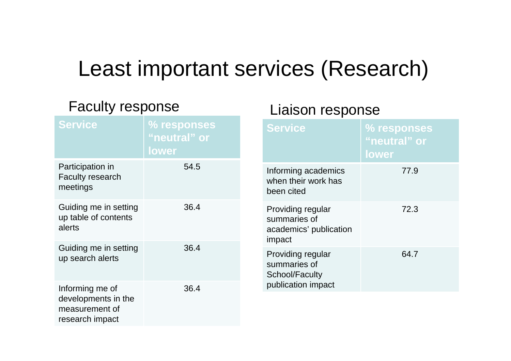### Least important services (Research)

#### Faculty response Liaison response

| <b>Service</b>                                                              | % responses<br>"neutral" or<br><b>lower</b> | <b>Service</b>                                                        | % responses<br>"neutral" or<br><b>lower</b> |
|-----------------------------------------------------------------------------|---------------------------------------------|-----------------------------------------------------------------------|---------------------------------------------|
| Participation in<br><b>Faculty research</b><br>meetings                     | 54.5                                        | Informing academics<br>when their work has<br>been cited              | 77.9                                        |
| Guiding me in setting<br>up table of contents<br>alerts                     | 36.4                                        | Providing regular<br>summaries of<br>academics' publication<br>impact | 72.3                                        |
| Guiding me in setting<br>up search alerts                                   | 36.4                                        | Providing regular<br>summaries of<br>School/Faculty                   | 64.7                                        |
| Informing me of<br>developments in the<br>measurement of<br>research impact | 36.4                                        | publication impact                                                    |                                             |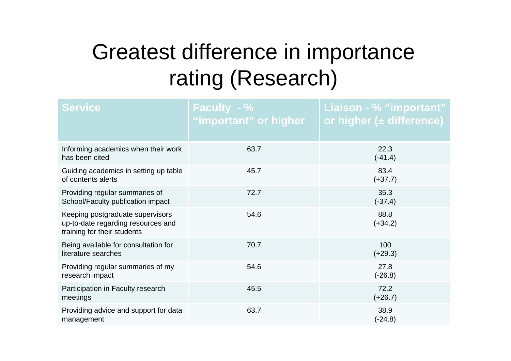## Greatest difference in importance rating (Research)

| <b>Service</b>                                                                                        | Faculty - %<br>"important" or higher | Liaison - % "important"<br>or higher $(±$ difference) |
|-------------------------------------------------------------------------------------------------------|--------------------------------------|-------------------------------------------------------|
| Informing academics when their work<br>has been cited                                                 | 63.7                                 | 22.3<br>$(-41.4)$                                     |
| Guiding academics in setting up table<br>of contents alerts                                           | 45.7                                 | 83.4<br>$(+37.7)$                                     |
| Providing regular summaries of<br>School/Faculty publication impact                                   | 72.7                                 | 35.3<br>$(-37.4)$                                     |
| Keeping postgraduate supervisors<br>up-to-date regarding resources and<br>training for their students | 54.6                                 | 88.8<br>$(+34.2)$                                     |
| Being available for consultation for<br>literature searches                                           | 70.7                                 | 100<br>$(+29.3)$                                      |
| Providing regular summaries of my<br>research impact                                                  | 54.6                                 | 27.8<br>$(-26.8)$                                     |
| Participation in Faculty research<br>meetings                                                         | 45.5                                 | 72.2<br>$(+26.7)$                                     |
| Providing advice and support for data<br>management                                                   | 63.7                                 | 38.9<br>$(-24.8)$                                     |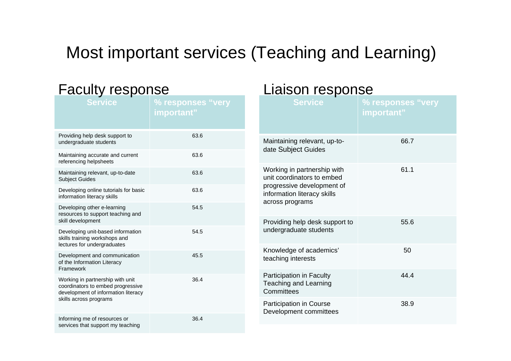### Most important services (Teaching and Learning)

#### Faculty response Liaison response

| <b>Service</b>                                                                                                                         | % responses "very<br>important" |
|----------------------------------------------------------------------------------------------------------------------------------------|---------------------------------|
| Providing help desk support to<br>undergraduate students                                                                               | 63.6                            |
| Maintaining accurate and current<br>referencing helpsheets                                                                             | 63.6                            |
| Maintaining relevant, up-to-date<br><b>Subject Guides</b>                                                                              | 63.6                            |
| Developing online tutorials for basic<br>information literacy skills                                                                   | 63.6                            |
| Developing other e-learning<br>resources to support teaching and<br>skill development                                                  | 54.5                            |
| Developing unit-based information<br>skills training workshops and<br>lectures for undergraduates                                      | 54.5                            |
| Development and communication<br>of the Information Literacy<br>Framework                                                              | 45.5                            |
| Working in partnership with unit<br>coordinators to embed progressive<br>development of information literacy<br>skills across programs | 36.4                            |
| Informing me of resources or<br>services that support my teaching                                                                      | 36.4                            |

| Service                                                                                                                                   | % responses "very<br>important" |
|-------------------------------------------------------------------------------------------------------------------------------------------|---------------------------------|
| Maintaining relevant, up-to-<br>date Subject Guides                                                                                       | 66.7                            |
| Working in partnership with<br>unit coordinators to embed<br>progressive development of<br>information literacy skills<br>across programs | 61.1                            |
| Providing help desk support to<br>undergraduate students                                                                                  | 55.6                            |
| Knowledge of academics'<br>teaching interests                                                                                             | 50                              |
| Participation in Faculty<br>Teaching and Learning<br>Committees                                                                           | 44.4                            |
| <b>Participation in Course</b><br>Development committees                                                                                  | 38.9                            |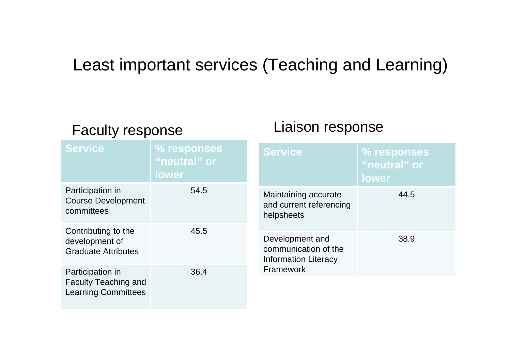### Least important services (Teaching and Learning)

### Faculty response **Liaison** response

| <b>Service</b>                                                                | % responses<br>"neutral" or<br>lower | <b>Service</b>                                                                                                                          | % responses<br>"neutral" or<br>lower |
|-------------------------------------------------------------------------------|--------------------------------------|-----------------------------------------------------------------------------------------------------------------------------------------|--------------------------------------|
| Participation in<br><b>Course Development</b><br>committees                   | 54.5                                 | Maintaining accurate<br>and current referencing<br>helpsheets<br>Development and<br>communication of the<br><b>Information Literacy</b> | 44.5                                 |
| Contributing to the<br>development of<br><b>Graduate Attributes</b>           | 45.5                                 |                                                                                                                                         | 38.9                                 |
| Participation in<br><b>Faculty Teaching and</b><br><b>Learning Committees</b> | 36.4                                 | <b>Framework</b>                                                                                                                        |                                      |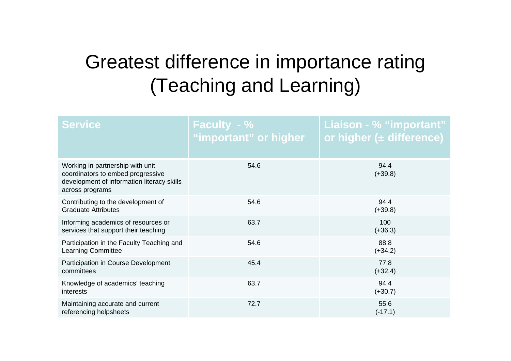### Greatest difference in importance rating (Teaching and Learning)

| <b>Service</b>                                                                                                                         | <b>Faculty - %</b><br>"important" or higher | Liaison - % "important"<br>or higher $(±$ difference) |
|----------------------------------------------------------------------------------------------------------------------------------------|---------------------------------------------|-------------------------------------------------------|
| Working in partnership with unit<br>coordinators to embed progressive<br>development of information literacy skills<br>across programs | 54.6                                        | 94.4<br>$(+39.8)$                                     |
| Contributing to the development of<br><b>Graduate Attributes</b>                                                                       | 54.6                                        | 94.4<br>$(+39.8)$                                     |
| Informing academics of resources or<br>services that support their teaching                                                            | 63.7                                        | 100<br>$(+36.3)$                                      |
| Participation in the Faculty Teaching and<br><b>Learning Committee</b>                                                                 | 54.6                                        | 88.8<br>$(+34.2)$                                     |
| Participation in Course Development<br>committees                                                                                      | 45.4                                        | 77.8<br>$(+32.4)$                                     |
| Knowledge of academics' teaching<br>interests                                                                                          | 63.7                                        | 94.4<br>$(+30.7)$                                     |
| Maintaining accurate and current<br>referencing helpsheets                                                                             | 72.7                                        | 55.6<br>$(-17.1)$                                     |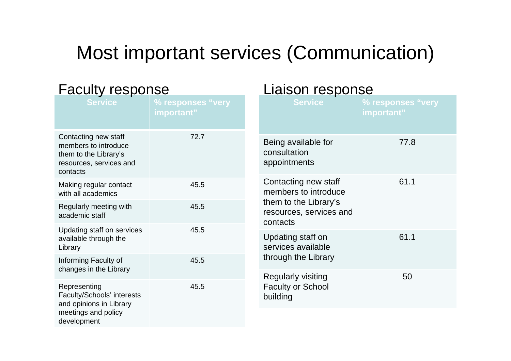### Most important services (Communication)

#### Faculty response Liaison response

| <b>Service</b>                                                                                               | % responses "very<br>important" | <b>Service</b>                                                    | % responses "very<br>important" |  |
|--------------------------------------------------------------------------------------------------------------|---------------------------------|-------------------------------------------------------------------|---------------------------------|--|
| Contacting new staff<br>members to introduce<br>them to the Library's<br>resources, services and<br>contacts | 72.7                            | Being available for<br>consultation<br>appointments               | 77.8                            |  |
| Making regular contact<br>with all academics                                                                 | 45.5                            | Contacting new staff<br>members to introduce                      | 61.1                            |  |
| Regularly meeting with<br>academic staff                                                                     | 45.5                            | them to the Library's<br>resources, services and<br>contacts      |                                 |  |
| Updating staff on services<br>available through the<br>Library                                               | 45.5                            | Updating staff on<br>services available                           | 61.1                            |  |
| Informing Faculty of<br>changes in the Library                                                               | 45.5                            | through the Library                                               |                                 |  |
| Representing<br>Faculty/Schools' interests<br>and opinions in Library<br>meetings and policy                 | 45.5                            | <b>Regularly visiting</b><br><b>Faculty or School</b><br>building | 50                              |  |
| development                                                                                                  |                                 |                                                                   |                                 |  |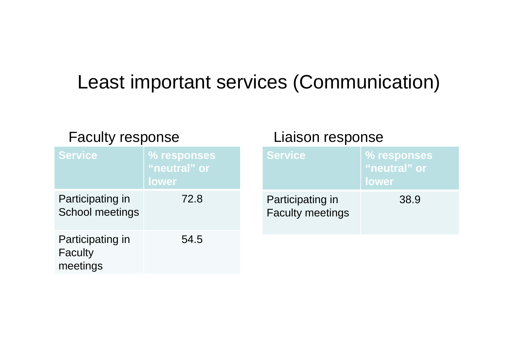### Least important services (Communication)

#### Faculty response **Liaison** response

| <b>Service</b>                                 | % responses<br>"neutral" or<br>lower |
|------------------------------------------------|--------------------------------------|
| Participating in<br><b>School meetings</b>     | 72.8                                 |
| Participating in<br><b>Faculty</b><br>meetings | 54.5                                 |

| <b>Service</b>                              | % responses<br>"neutral" or<br><b>lower</b> |
|---------------------------------------------|---------------------------------------------|
| Participating in<br><b>Faculty meetings</b> | 38.9                                        |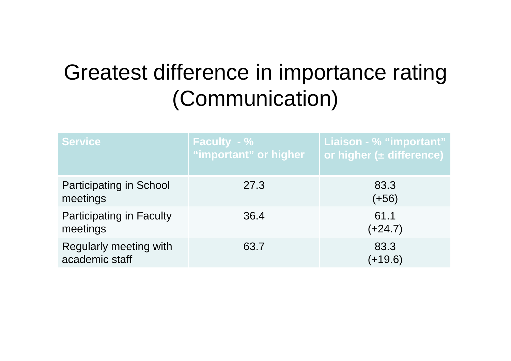### Greatest difference in importance rating (Communication)

| <b>Service</b>                                  | <b>Faculty - %</b><br>"important" or higher | <b>Liaison - % "important"</b><br>or higher $(±$ difference) |
|-------------------------------------------------|---------------------------------------------|--------------------------------------------------------------|
| <b>Participating in School</b><br>meetings      | 27.3                                        | 83.3<br>$(+56)$                                              |
| <b>Participating in Faculty</b><br>meetings     | 36.4                                        | 61.1<br>$(+24.7)$                                            |
| <b>Regularly meeting with</b><br>academic staff | 63.7                                        | 83.3<br>$(+19.6)$                                            |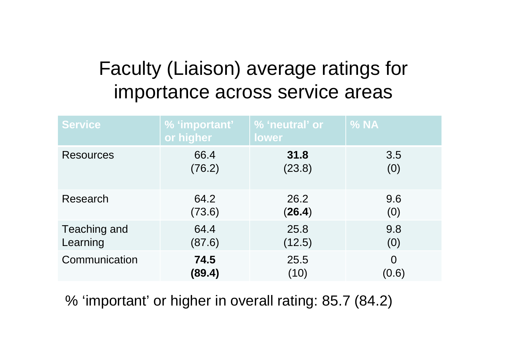### Faculty (Liaison) average ratings for importance across service areas

| <b>Service</b>   | % 'important'<br>or higher | % 'neutral' or<br><b>lower</b> | % NA     |
|------------------|----------------------------|--------------------------------|----------|
| <b>Resources</b> | 66.4                       | 31.8                           | 3.5      |
|                  | (76.2)                     | (23.8)                         | (0)      |
| Research         | 64.2                       | 26.2                           | 9.6      |
|                  | (73.6)                     | (26.4)                         | (0)      |
| Teaching and     | 64.4                       | 25.8                           | 9.8      |
| Learning         | (87.6)                     | (12.5)                         | (0)      |
| Communication    | 74.5                       | 25.5                           | $\Omega$ |
|                  | (89.4)                     | (10)                           | (0.6)    |

% 'important' or higher in overall rating: 85.7 (84.2)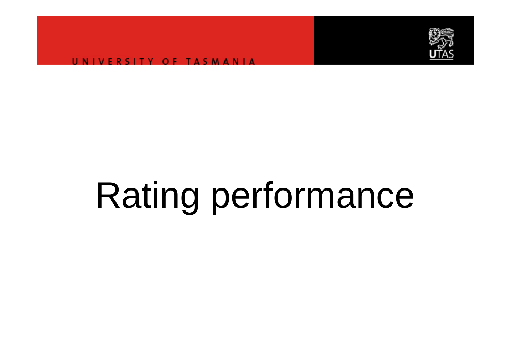

#### $\cap$  E 11. **TAC**

# Rating performance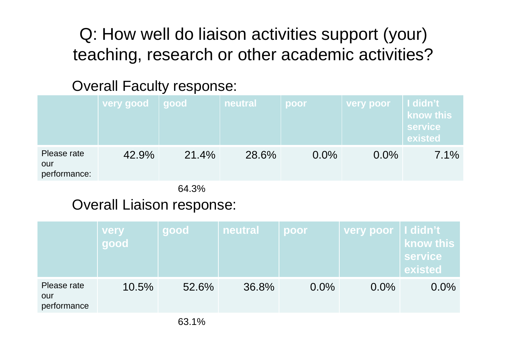Q: How well do liaison activities support (your) teaching, research or other academic activities?

#### Overall Faculty response:

|                                    | <b>very good</b> | ∣ good ∣ | neutral | poor    | very poor | I didn't<br><b>know this</b><br>service<br>existed |
|------------------------------------|------------------|----------|---------|---------|-----------|----------------------------------------------------|
| Please rate<br>our<br>performance: | 42.9%            | 21.4%    | 28.6%   | $0.0\%$ | $0.0\%$   | 7.1%                                               |
|                                    |                  | 64.3%    |         |         |           |                                                    |

#### Overall Liaison response:

|                                   | <b>very</b><br>good | good          | neutral | poor    | very poor   I didn't | know this<br><b>service</b><br>existed |
|-----------------------------------|---------------------|---------------|---------|---------|----------------------|----------------------------------------|
| Please rate<br>our<br>performance | 10.5%               | 52.6%         | 36.8%   | $0.0\%$ | $0.0\%$              | $0.0\%$                                |
|                                   |                     | $\sim$ $\sim$ |         |         |                      |                                        |

63.1%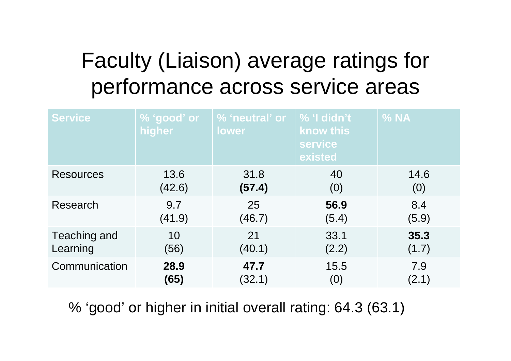### Faculty (Liaison) average ratings for performance across service areas

| <b>Service</b>   | $\sqrt{2}$ 'good' or<br>higher | % 'neutral' or<br>lower | % 'I didn't<br>know this<br>service<br>existed | % NA  |
|------------------|--------------------------------|-------------------------|------------------------------------------------|-------|
| <b>Resources</b> | 13.6                           | 31.8                    | 40                                             | 14.6  |
|                  | (42.6)                         | (57.4)                  | (0)                                            | (0)   |
| Research         | 9.7                            | 25                      | 56.9                                           | 8.4   |
|                  | (41.9)                         | (46.7)                  | (5.4)                                          | (5.9) |
| Teaching and     | 10                             | 21                      | 33.1                                           | 35.3  |
| Learning         | (56)                           | (40.1)                  | (2.2)                                          | (1.7) |
| Communication    | 28.9                           | 47.7                    | 15.5                                           | 7.9   |
|                  | (65)                           | (32.1)                  | (0)                                            | (2.1) |

% 'good' or higher in initial overall rating: 64.3 (63.1)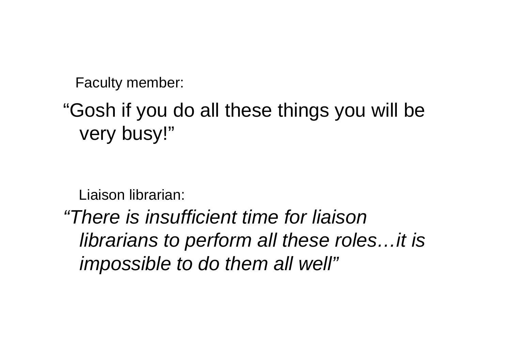Faculty member:

"Gosh if you do all these things you will be very busy!"

Liaison librarian:

*"There is insufficient time for liaison librarians to perform all these roles…it is impossible to do them all well"*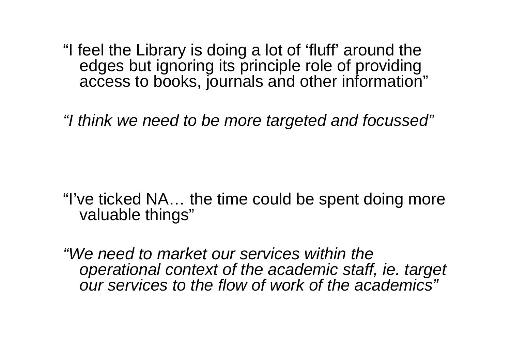"I feel the Library is doing a lot of 'fluff' around the edges but ignoring its principle role of providing access to books, journals and other information"

*"I think we need to be more targeted and focussed"*

"I've ticked NA… the time could be spent doing more valuable things"

*"We need to market our services within the operational context of the academic staff, ie. target our services to the flow of work of the academics"*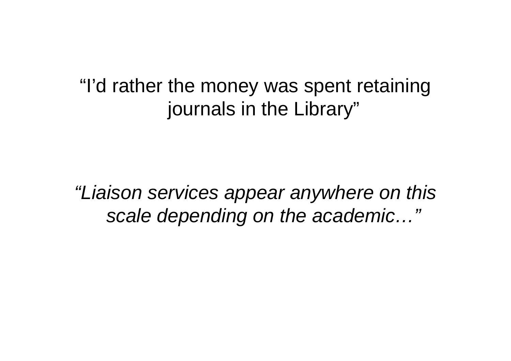"I'd rather the money was spent retaining journals in the Library"

*"Liaison services appear anywhere on this scale depending on the academic…"*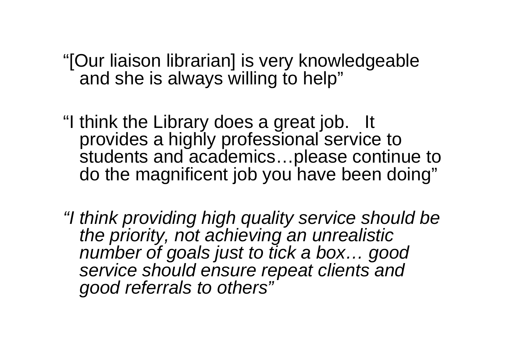"[Our liaison librarian] is very knowledgeable and she is always willing to help"

- "I think the Library does a great job. It provides a highly professional service to students and academics…please continue to do the magnificent job you have been doing"
- *"I think providing high quality service should be the priority, not achieving an unrealistic number of goals just to tick a box… good service should ensure repeat clients and good referrals to others"*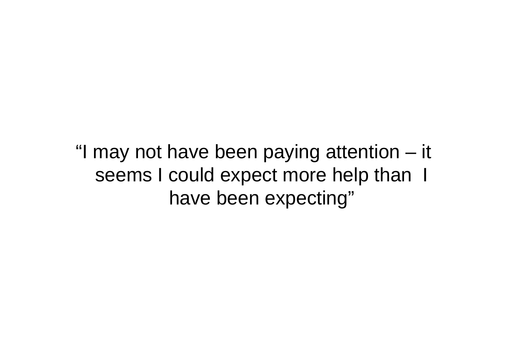"I may not have been paying attention – it seems I could expect more help than I have been expecting"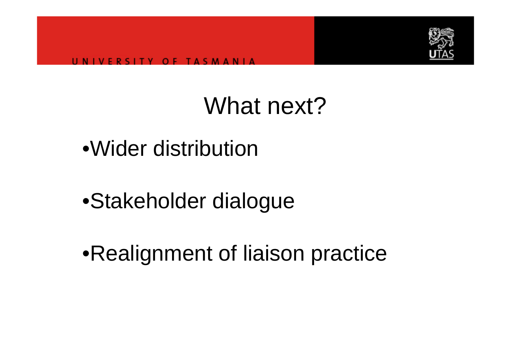



## What next?

- •Wider distribution
- •Stakeholder dialogue
- •Realignment of liaison practice